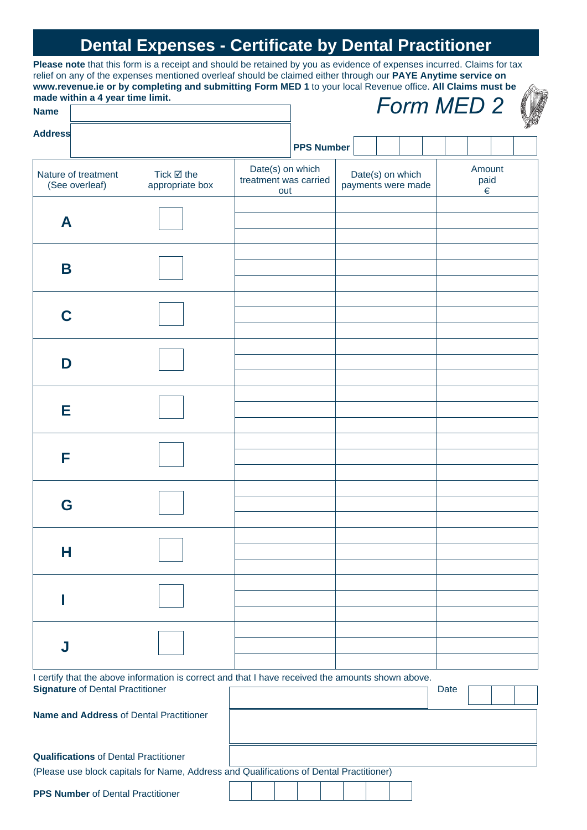# **Dental Expenses - Certificate by Dental Practitioner**

**Please note** that this form is a receipt and should be retained by you as evidence of expenses incurred. Claims for tax relief on any of the expenses mentioned overleaf should be claimed either through our **PAYE Anytime service on www.revenue.ie or by completing and submitting Form MED 1** to your local Revenue office. **All Claims must be made within a 4 year time limit.** *Form MED 2*

| made within a 4 year time limit.<br><b>Name</b>                                  |                                                                                                   |                                                  |                   |                                        |  | Form MED 2 |                     |  |
|----------------------------------------------------------------------------------|---------------------------------------------------------------------------------------------------|--------------------------------------------------|-------------------|----------------------------------------|--|------------|---------------------|--|
| <b>Address</b>                                                                   |                                                                                                   |                                                  | <b>PPS Number</b> |                                        |  |            |                     |  |
| Nature of treatment<br>Tick $\boxtimes$ the<br>(See overleaf)<br>appropriate box |                                                                                                   | Date(s) on which<br>treatment was carried<br>out |                   | Date(s) on which<br>payments were made |  |            | Amount<br>paid<br>€ |  |
| A                                                                                |                                                                                                   |                                                  |                   |                                        |  |            |                     |  |
| Β                                                                                |                                                                                                   |                                                  |                   |                                        |  |            |                     |  |
| C                                                                                |                                                                                                   |                                                  |                   |                                        |  |            |                     |  |
| D                                                                                |                                                                                                   |                                                  |                   |                                        |  |            |                     |  |
| Е                                                                                |                                                                                                   |                                                  |                   |                                        |  |            |                     |  |
| F                                                                                |                                                                                                   |                                                  |                   |                                        |  |            |                     |  |
| G                                                                                |                                                                                                   |                                                  |                   |                                        |  |            |                     |  |
| н                                                                                |                                                                                                   |                                                  |                   |                                        |  |            |                     |  |
|                                                                                  |                                                                                                   |                                                  |                   |                                        |  |            |                     |  |
| J                                                                                |                                                                                                   |                                                  |                   |                                        |  |            |                     |  |
| <b>Signature of Dental Practitioner</b>                                          | I certify that the above information is correct and that I have received the amounts shown above. |                                                  |                   |                                        |  | Date       |                     |  |
| <b>Name and Address of Dental Practitioner</b>                                   |                                                                                                   |                                                  |                   |                                        |  |            |                     |  |
| <b>Qualifications of Dental Practitioner</b>                                     | (Please use block capitals for Name, Address and Qualifications of Dental Practitioner)           |                                                  |                   |                                        |  |            |                     |  |
| <b>PPS Number of Dental Practitioner</b>                                         |                                                                                                   |                                                  |                   |                                        |  |            |                     |  |